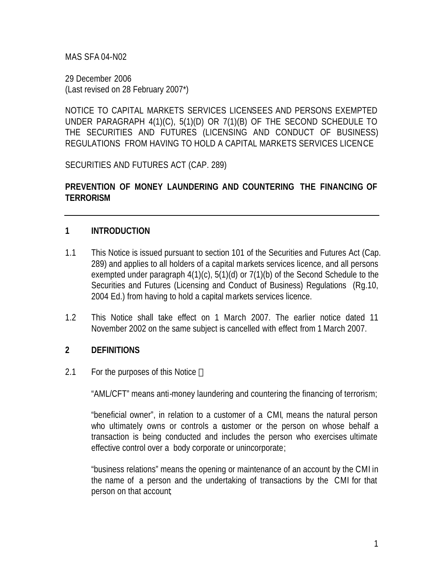MAS SFA 04-N02

29 December 2006 (Last revised on 28 February 2007\*)

NOTICE TO CAPITAL MARKETS SERVICES LICENSEES AND PERSONS EXEMPTED UNDER PARAGRAPH 4(1)(C), 5(1)(D) OR 7(1)(B) OF THE SECOND SCHEDULE TO THE SECURITIES AND FUTURES (LICENSING AND CONDUCT OF BUSINESS) REGULATIONS FROM HAVING TO HOLD A CAPITAL MARKETS SERVICES LICENCE

SECURITIES AND FUTURES ACT (CAP. 289)

#### **PREVENTION OF MONEY LAUNDERING AND COUNTERING THE FINANCING OF TERRORISM**

#### **1 INTRODUCTION**

- 1.1 This Notice is issued pursuant to section 101 of the Securities and Futures Act (Cap. 289) and applies to all holders of a capital markets services licence, and all persons exempted under paragraph 4(1)(c), 5(1)(d) or 7(1)(b) of the Second Schedule to the Securities and Futures (Licensing and Conduct of Business) Regulations (Rg.10, 2004 Ed.) from having to hold a capital markets services licence.
- 1.2 This Notice shall take effect on 1 March 2007. The earlier notice dated 11 November 2002 on the same subject is cancelled with effect from 1 March 2007.

#### **2 DEFINITIONS**

2.1 For the purposes of this Notice —

"AML/CFT" means anti-money laundering and countering the financing of terrorism;

"beneficial owner", in relation to a customer of a CMI, means the natural person who ultimately owns or controls a astomer or the person on whose behalf a transaction is being conducted and includes the person who exercises ultimate effective control over a body corporate or unincorporate;

"business relations" means the opening or maintenance of an account by the CMI in the name of a person and the undertaking of transactions by the CMI for that person on that account;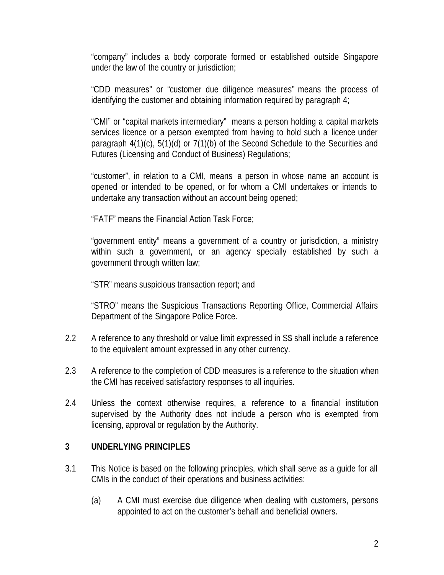"company" includes a body corporate formed or established outside Singapore under the law of the country or jurisdiction;

"CDD measures" or "customer due diligence measures" means the process of identifying the customer and obtaining information required by paragraph 4;

"CMI" or "capital markets intermediary" means a person holding a capital markets services licence or a person exempted from having to hold such a licence under paragraph 4(1)(c), 5(1)(d) or 7(1)(b) of the Second Schedule to the Securities and Futures (Licensing and Conduct of Business) Regulations;

"customer", in relation to a CMI, means a person in whose name an account is opened or intended to be opened, or for whom a CMI undertakes or intends to undertake any transaction without an account being opened;

"FATF" means the Financial Action Task Force;

"government entity" means a government of a country or jurisdiction, a ministry within such a government, or an agency specially established by such a government through written law;

"STR" means suspicious transaction report; and

"STRO" means the Suspicious Transactions Reporting Office, Commercial Affairs Department of the Singapore Police Force.

- 2.2 A reference to any threshold or value limit expressed in S\$ shall include a reference to the equivalent amount expressed in any other currency.
- 2.3 A reference to the completion of CDD measures is a reference to the situation when the CMI has received satisfactory responses to all inquiries.
- 2.4 Unless the context otherwise requires, a reference to a financial institution supervised by the Authority does not include a person who is exempted from licensing, approval or regulation by the Authority.

#### **3 UNDERLYING PRINCIPLES**

- 3.1 This Notice is based on the following principles, which shall serve as a guide for all CMIs in the conduct of their operations and business activities:
	- (a) A CMI must exercise due diligence when dealing with customers, persons appointed to act on the customer's behalf and beneficial owners.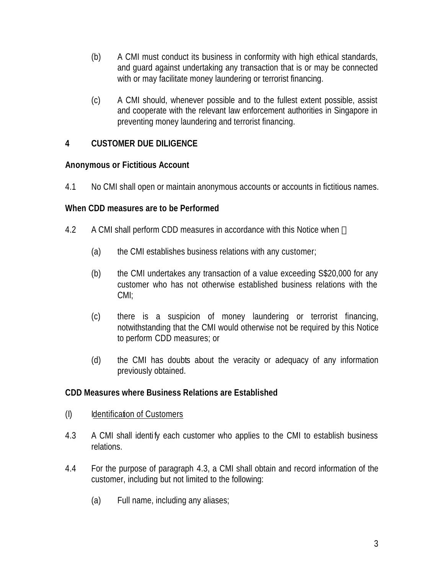- (b) A CMI must conduct its business in conformity with high ethical standards, and guard against undertaking any transaction that is or may be connected with or may facilitate money laundering or terrorist financing.
- (c) A CMI should, whenever possible and to the fullest extent possible, assist and cooperate with the relevant law enforcement authorities in Singapore in preventing money laundering and terrorist financing.

## **4 CUSTOMER DUE DILIGENCE**

#### **Anonymous or Fictitious Account**

4.1 No CMI shall open or maintain anonymous accounts or accounts in fictitious names.

#### **When CDD measures are to be Performed**

- 4.2 A CMI shall perform CDD measures in accordance with this Notice when
	- (a) the CMI establishes business relations with any customer;
	- (b) the CMI undertakes any transaction of a value exceeding S\$20,000 for any customer who has not otherwise established business relations with the CMI;
	- (c) there is a suspicion of money laundering or terrorist financing, notwithstanding that the CMI would otherwise not be required by this Notice to perform CDD measures; or
	- (d) the CMI has doubts about the veracity or adequacy of any information previously obtained.

## **CDD Measures where Business Relations are Established**

- (I) Identification of Customers
- 4.3 A CMI shall identify each customer who applies to the CMI to establish business relations.
- 4.4 For the purpose of paragraph 4.3, a CMI shall obtain and record information of the customer, including but not limited to the following:
	- (a) Full name, including any aliases;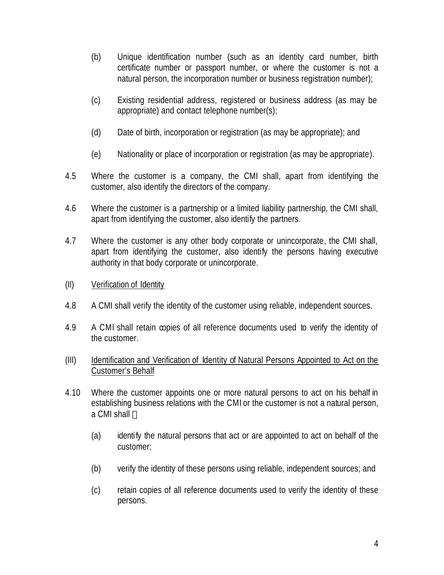- (b) Unique identification number (such as an identity card number, birth certificate number or passport number, or where the customer is not a natural person, the incorporation number or business registration number);
- (c) Existing residential address, registered or business address (as may be appropriate) and contact telephone number(s);
- (d) Date of birth, incorporation or registration (as may be appropriate); and
- (e) Nationality or place of incorporation or registration (as may be appropriate).
- 4.5 Where the customer is a company, the CMI shall, apart from identifying the customer, also identify the directors of the company.
- 4.6 Where the customer is a partnership or a limited liability partnership, the CMI shall, apart from identifying the customer, also identify the partners.
- 4.7 Where the customer is any other body corporate or unincorporate, the CMI shall, apart from identifying the customer, also identify the persons having executive authority in that body corporate or unincorporate.
- (II) Verification of Identity
- 4.8 A CMI shall verify the identity of the customer using reliable, independent sources.
- 4.9 A CMI shall retain copies of all reference documents used to verify the identity of the customer.
- (III) Identification and Verification of Identity of Natural Persons Appointed to Act on the Customer's Behalf
- 4.10 Where the customer appoints one or more natural persons to act on his behalf in establishing business relations with the CMI or the customer is not a natural person, a CMI shall
	- (a) identify the natural persons that act or are appointed to act on behalf of the customer;
	- (b) verify the identity of these persons using reliable, independent sources; and
	- (c) retain copies of all reference documents used to verify the identity of these persons.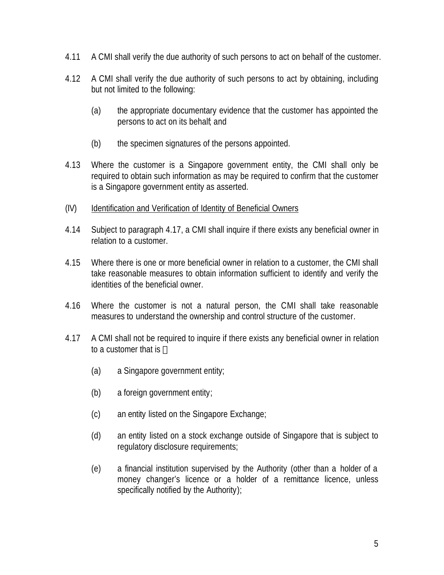- 4.11 A CMI shall verify the due authority of such persons to act on behalf of the customer.
- 4.12 A CMI shall verify the due authority of such persons to act by obtaining, including but not limited to the following:
	- (a) the appropriate documentary evidence that the customer has appointed the persons to act on its behalf; and
	- (b) the specimen signatures of the persons appointed.
- 4.13 Where the customer is a Singapore government entity, the CMI shall only be required to obtain such information as may be required to confirm that the customer is a Singapore government entity as asserted.
- (IV) Identification and Verification of Identity of Beneficial Owners
- 4.14 Subject to paragraph 4.17, a CMI shall inquire if there exists any beneficial owner in relation to a customer.
- 4.15 Where there is one or more beneficial owner in relation to a customer, the CMI shall take reasonable measures to obtain information sufficient to identify and verify the identities of the beneficial owner.
- 4.16 Where the customer is not a natural person, the CMI shall take reasonable measures to understand the ownership and control structure of the customer.
- 4.17 A CMI shall not be required to inquire if there exists any beneficial owner in relation to a customer that is
	- (a) a Singapore government entity;
	- (b) a foreign government entity;
	- (c) an entity listed on the Singapore Exchange;
	- (d) an entity listed on a stock exchange outside of Singapore that is subject to regulatory disclosure requirements;
	- (e) a financial institution supervised by the Authority (other than a holder of a money changer's licence or a holder of a remittance licence, unless specifically notified by the Authority);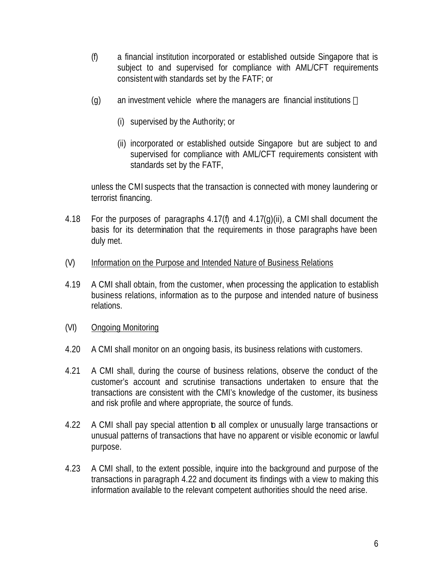- (f) a financial institution incorporated or established outside Singapore that is subject to and supervised for compliance with AML/CFT requirements consistent with standards set by the FATF; or
- (g) an investment vehicle where the managers are financial institutions
	- (i) supervised by the Authority; or
	- (ii) incorporated or established outside Singapore but are subject to and supervised for compliance with AML/CFT requirements consistent with standards set by the FATF,

unless the CMI suspects that the transaction is connected with money laundering or terrorist financing.

- 4.18 For the purposes of paragraphs 4.17(f) and 4.17(g)(ii), a CMI shall document the basis for its determination that the requirements in those paragraphs have been duly met.
- (V) Information on the Purpose and Intended Nature of Business Relations
- 4.19 A CMI shall obtain, from the customer, when processing the application to establish business relations, information as to the purpose and intended nature of business relations.
- (VI) Ongoing Monitoring
- 4.20 A CMI shall monitor on an ongoing basis, its business relations with customers.
- 4.21 A CMI shall, during the course of business relations, observe the conduct of the customer's account and scrutinise transactions undertaken to ensure that the transactions are consistent with the CMI's knowledge of the customer, its business and risk profile and where appropriate, the source of funds.
- 4.22 A CMI shall pay special attention b all complex or unusually large transactions or unusual patterns of transactions that have no apparent or visible economic or lawful purpose.
- 4.23 A CMI shall, to the extent possible, inquire into the background and purpose of the transactions in paragraph 4.22 and document its findings with a view to making this information available to the relevant competent authorities should the need arise.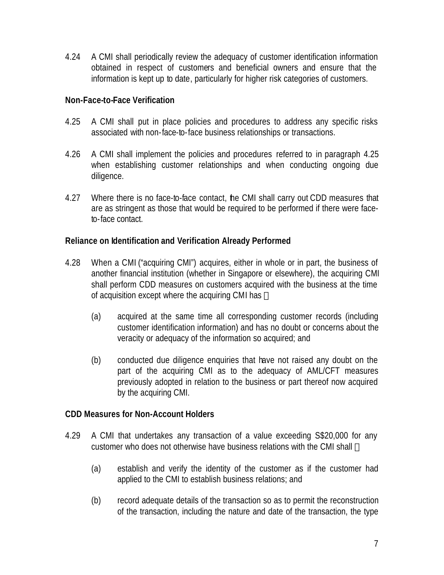4.24 A CMI shall periodically review the adequacy of customer identification information obtained in respect of customers and beneficial owners and ensure that the information is kept up to date, particularly for higher risk categories of customers.

#### **Non-Face-to-Face Verification**

- 4.25 A CMI shall put in place policies and procedures to address any specific risks associated with non-face-to-face business relationships or transactions.
- 4.26 A CMI shall implement the policies and procedures referred to in paragraph 4.25 when establishing customer relationships and when conducting ongoing due diligence.
- 4.27 Where there is no face-to-face contact, the CMI shall carry out CDD measures that are as stringent as those that would be required to be performed if there were faceto-face contact.

#### **Reliance on Identification and Verification Already Performed**

- 4.28 When a CMI ("acquiring CMI") acquires, either in whole or in part, the business of another financial institution (whether in Singapore or elsewhere), the acquiring CMI shall perform CDD measures on customers acquired with the business at the time of acquisition except where the acquiring CMI has
	- (a) acquired at the same time all corresponding customer records (including customer identification information) and has no doubt or concerns about the veracity or adequacy of the information so acquired; and
	- (b) conducted due diligence enquiries that have not raised any doubt on the part of the acquiring CMI as to the adequacy of AML/CFT measures previously adopted in relation to the business or part thereof now acquired by the acquiring CMI.

#### **CDD Measures for Non-Account Holders**

- 4.29 A CMI that undertakes any transaction of a value exceeding S\$20,000 for any customer who does not otherwise have business relations with the CMI shall
	- (a) establish and verify the identity of the customer as if the customer had applied to the CMI to establish business relations; and
	- (b) record adequate details of the transaction so as to permit the reconstruction of the transaction, including the nature and date of the transaction, the type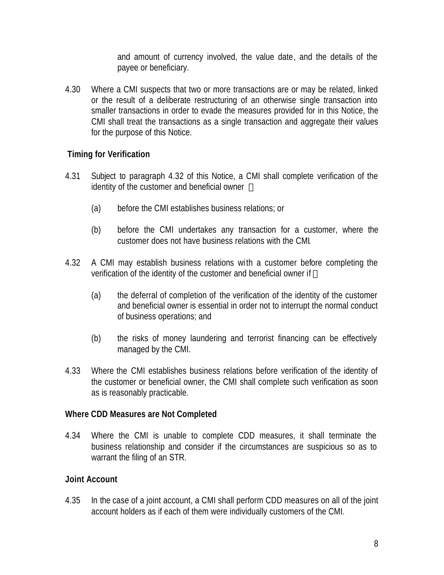and amount of currency involved, the value date, and the details of the payee or beneficiary.

4.30 Where a CMI suspects that two or more transactions are or may be related, linked or the result of a deliberate restructuring of an otherwise single transaction into smaller transactions in order to evade the measures provided for in this Notice, the CMI shall treat the transactions as a single transaction and aggregate their values for the purpose of this Notice.

## **Timing for Verification**

- 4.31 Subject to paragraph 4.32 of this Notice, a CMI shall complete verification of the identity of the customer and beneficial owner
	- (a) before the CMI establishes business relations; or
	- (b) before the CMI undertakes any transaction for a customer, where the customer does not have business relations with the CMI.
- 4.32 A CMI may establish business relations wi th a customer before completing the verification of the identity of the customer and beneficial owner if
	- (a) the deferral of completion of the verification of the identity of the customer and beneficial owner is essential in order not to interrupt the normal conduct of business operations; and
	- (b) the risks of money laundering and terrorist financing can be effectively managed by the CMI.
- 4.33 Where the CMI establishes business relations before verification of the identity of the customer or beneficial owner, the CMI shall complete such verification as soon as is reasonably practicable.

#### **Where CDD Measures are Not Completed**

4.34 Where the CMI is unable to complete CDD measures, it shall terminate the business relationship and consider if the circumstances are suspicious so as to warrant the filing of an STR.

#### **Joint Account**

4.35 In the case of a joint account, a CMI shall perform CDD measures on all of the joint account holders as if each of them were individually customers of the CMI.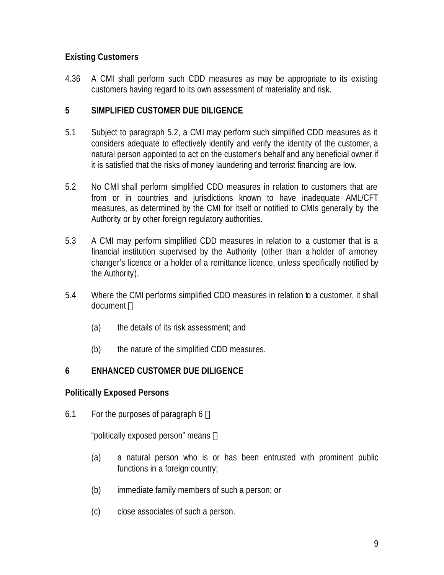# **Existing Customers**

4.36 A CMI shall perform such CDD measures as may be appropriate to its existing customers having regard to its own assessment of materiality and risk.

#### **5 SIMPLIFIED CUSTOMER DUE DILIGENCE**

- 5.1 Subject to paragraph 5.2, a CMI may perform such simplified CDD measures as it considers adequate to effectively identify and verify the identity of the customer, a natural person appointed to act on the customer's behalf and any beneficial owner if it is satisfied that the risks of money laundering and terrorist financing are low.
- 5.2 No CMI shall perform simplified CDD measures in relation to customers that are from or in countries and jurisdictions known to have inadequate AML/CFT measures, as determined by the CMI for itself or notified to CMIs generally by the Authority or by other foreign regulatory authorities.
- 5.3 A CMI may perform simplified CDD measures in relation to a customer that is a financial institution supervised by the Authority (other than a holder of a money changer's licence or a holder of a remittance licence, unless specifically notified by the Authority).
- 5.4 Where the CMI performs simplified CDD measures in relation to a customer, it shall document
	- (a) the details of its risk assessment; and
	- (b) the nature of the simplified CDD measures.

## **6 ENHANCED CUSTOMER DUE DILIGENCE**

#### **Politically Exposed Persons**

6.1 For the purposes of paragraph 6

"politically exposed person" means

- (a) a natural person who is or has been entrusted with prominent public functions in a foreign country;
- (b) immediate family members of such a person; or
- (c) close associates of such a person.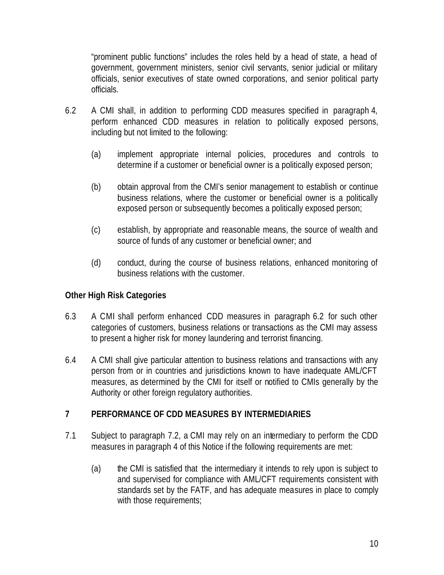"prominent public functions" includes the roles held by a head of state, a head of government, government ministers, senior civil servants, senior judicial or military officials, senior executives of state owned corporations, and senior political party officials.

- 6.2 A CMI shall, in addition to performing CDD measures specified in paragraph 4, perform enhanced CDD measures in relation to politically exposed persons, including but not limited to the following:
	- (a) implement appropriate internal policies, procedures and controls to determine if a customer or beneficial owner is a politically exposed person;
	- (b) obtain approval from the CMI's senior management to establish or continue business relations, where the customer or beneficial owner is a politically exposed person or subsequently becomes a politically exposed person;
	- (c) establish, by appropriate and reasonable means, the source of wealth and source of funds of any customer or beneficial owner; and
	- (d) conduct, during the course of business relations, enhanced monitoring of business relations with the customer.

## **Other High Risk Categories**

- 6.3 A CMI shall perform enhanced CDD measures in paragraph 6.2 for such other categories of customers, business relations or transactions as the CMI may assess to present a higher risk for money laundering and terrorist financing.
- 6.4 A CMI shall give particular attention to business relations and transactions with any person from or in countries and jurisdictions known to have inadequate AML/CFT measures, as determined by the CMI for itself or notified to CMIs generally by the Authority or other foreign regulatory authorities.

#### **7 PERFORMANCE OF CDD MEASURES BY INTERMEDIARIES**

- 7.1 Subject to paragraph 7.2, a CMI may rely on an intermediary to perform the CDD measures in paragraph 4 of this Notice if the following requirements are met:
	- (a) the CMI is satisfied that the intermediary it intends to rely upon is subject to and supervised for compliance with AML/CFT requirements consistent with standards set by the FATF, and has adequate measures in place to comply with those requirements;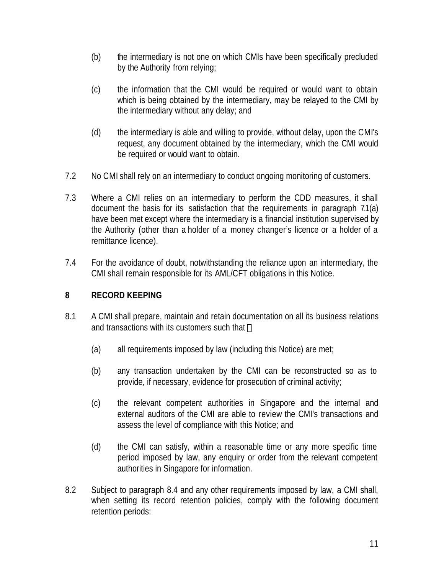- (b) the intermediary is not one on which CMIs have been specifically precluded by the Authority from relying;
- (c) the information that the CMI would be required or would want to obtain which is being obtained by the intermediary, may be relayed to the CMI by the intermediary without any delay; and
- (d) the intermediary is able and willing to provide, without delay, upon the CMI's request, any document obtained by the intermediary, which the CMI would be required or would want to obtain.
- 7.2 No CMI shall rely on an intermediary to conduct ongoing monitoring of customers.
- 7.3 Where a CMI relies on an intermediary to perform the CDD measures, it shall document the basis for its satisfaction that the requirements in paragraph 7.1(a) have been met except where the intermediary is a financial institution supervised by the Authority (other than a holder of a money changer's licence or a holder of a remittance licence).
- 7.4 For the avoidance of doubt, notwithstanding the reliance upon an intermediary, the CMI shall remain responsible for its AML/CFT obligations in this Notice.

## **8 RECORD KEEPING**

- 8.1 A CMI shall prepare, maintain and retain documentation on all its business relations and transactions with its customers such that
	- (a) all requirements imposed by law (including this Notice) are met;
	- (b) any transaction undertaken by the CMI can be reconstructed so as to provide, if necessary, evidence for prosecution of criminal activity;
	- (c) the relevant competent authorities in Singapore and the internal and external auditors of the CMI are able to review the CMI's transactions and assess the level of compliance with this Notice; and
	- (d) the CMI can satisfy, within a reasonable time or any more specific time period imposed by law, any enquiry or order from the relevant competent authorities in Singapore for information.
- 8.2 Subject to paragraph 8.4 and any other requirements imposed by law, a CMI shall, when setting its record retention policies, comply with the following document retention periods: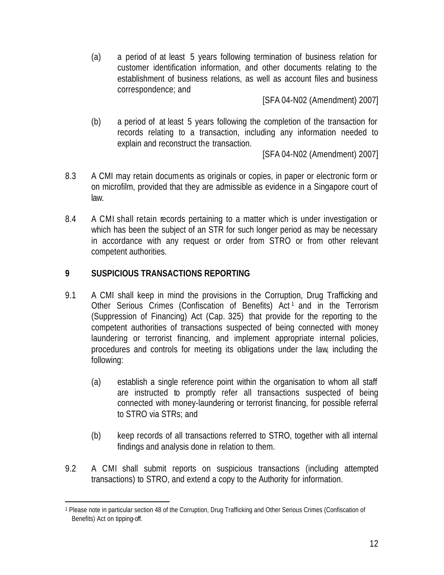(a) a period of at least 5 years following termination of business relation for customer identification information, and other documents relating to the establishment of business relations, as well as account files and business correspondence; and

[SFA 04-N02 (Amendment) 2007]

(b) a period of at least 5 years following the completion of the transaction for records relating to a transaction, including any information needed to explain and reconstruct the transaction.

[SFA 04-N02 (Amendment) 2007]

- 8.3 A CMI may retain documents as originals or copies, in paper or electronic form or on microfilm, provided that they are admissible as evidence in a Singapore court of law.
- 8.4 A CMI shall retain records pertaining to a matter which is under investigation or which has been the subject of an STR for such longer period as may be necessary in accordance with any request or order from STRO or from other relevant competent authorities.

## **9 SUSPICIOUS TRANSACTIONS REPORTING**

- 9.1 A CMI shall keep in mind the provisions in the Corruption, Drug Trafficking and Other Serious Crimes (Confiscation of Benefits) Act<sup>1</sup> and in the Terrorism (Suppression of Financing) Act (Cap. 325) that provide for the reporting to the competent authorities of transactions suspected of being connected with money laundering or terrorist financing, and implement appropriate internal policies, procedures and controls for meeting its obligations under the law, including the following:
	- (a) establish a single reference point within the organisation to whom all staff are instructed to promptly refer all transactions suspected of being connected with money-laundering or terrorist financing, for possible referral to STRO via STRs; and
	- (b) keep records of all transactions referred to STRO, together with all internal findings and analysis done in relation to them.
- 9.2 A CMI shall submit reports on suspicious transactions (including attempted transactions) to STRO, and extend a copy to the Authority for information.

 $\overline{a}$ <sup>1</sup> Please note in particular section 48 of the Corruption, Drug Trafficking and Other Serious Crimes (Confiscation of Benefits) Act on tipping-off.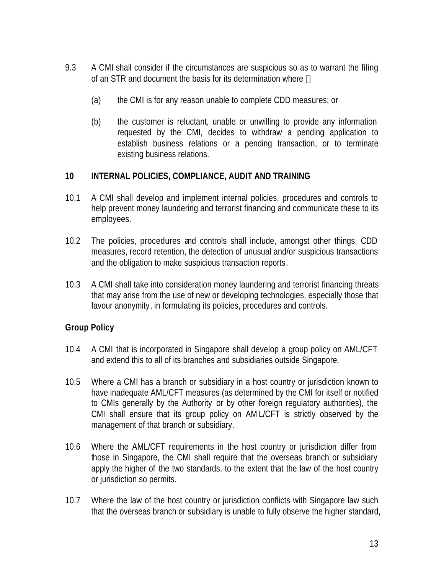- 9.3 A CMI shall consider if the circumstances are suspicious so as to warrant the filing of an STR and document the basis for its determination where
	- (a) the CMI is for any reason unable to complete CDD measures; or
	- (b) the customer is reluctant, unable or unwilling to provide any information requested by the CMI, decides to withdraw a pending application to establish business relations or a pending transaction, or to terminate existing business relations.

#### **10 INTERNAL POLICIES, COMPLIANCE, AUDIT AND TRAINING**

- 10.1 A CMI shall develop and implement internal policies, procedures and controls to help prevent money laundering and terrorist financing and communicate these to its employees.
- 10.2 The policies, procedures and controls shall include, amongst other things, CDD measures, record retention, the detection of unusual and/or suspicious transactions and the obligation to make suspicious transaction reports.
- 10.3 A CMI shall take into consideration money laundering and terrorist financing threats that may arise from the use of new or developing technologies, especially those that favour anonymity, in formulating its policies, procedures and controls.

## **Group Policy**

- 10.4 A CMI that is incorporated in Singapore shall develop a group policy on AML/CFT and extend this to all of its branches and subsidiaries outside Singapore.
- 10.5 Where a CMI has a branch or subsidiary in a host country or jurisdiction known to have inadequate AML/CFT measures (as determined by the CMI for itself or notified to CMIs generally by the Authority or by other foreign regulatory authorities), the CMI shall ensure that its group policy on AM L/CFT is strictly observed by the management of that branch or subsidiary.
- 10.6 Where the AML/CFT requirements in the host country or jurisdiction differ from those in Singapore, the CMI shall require that the overseas branch or subsidiary apply the higher of the two standards, to the extent that the law of the host country or jurisdiction so permits.
- 10.7 Where the law of the host country or jurisdiction conflicts with Singapore law such that the overseas branch or subsidiary is unable to fully observe the higher standard,